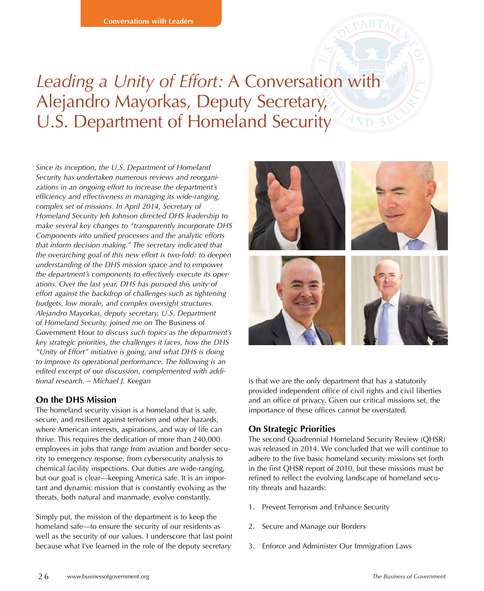# *Leading a Unity of Effort:* A Conversation with Alejandro Mayorkas, Deputy Secretary, U.S. Department of Homeland Security

*Since its inception, the U.S. Department of Homeland Security has undertaken numerous reviews and reorganizations in an ongoing effort to increase the department's efficiency and effectiveness in managing its wide-ranging, complex set of missions. In April 2014, Secretary of Homeland Security Jeh Johnson directed DHS leadership to make several key changes to "transparently incorporate DHS Components into unified processes and the analytic efforts that inform decision making." The secretary indicated that the overarching goal of this new effort is two-fold: to deepen understanding of the DHS mission space and to empower the department's components to effectively execute its operations. Over the last year, DHS has pursued this unity of effort against the backdrop of challenges such as tightening budgets, low morale, and complex oversight structures. Alejandro Mayorkas, deputy secretary, U.S. Department of Homeland Security, joined me on* The Business of Government Hour *to discuss such topics as the department's key strategic priorities, the challenges it faces, how the DHS "Unity of Effort" initiative is going, and what DHS is doing to improve its operational performance. The following is an edited excerpt of our discussion, complemented with additional research. – Michael J. Keegan*

### **On the DHS Mission**

The homeland security vision is a homeland that is safe, secure, and resilient against terrorism and other hazards, where American interests, aspirations, and way of life can thrive. This requires the dedication of more than 240,000 employees in jobs that range from aviation and border security to emergency response, from cybersecurity analysis to chemical facility inspections. Our duties are wide-ranging, but our goal is clear—keeping America safe. It is an important and dynamic mission that is constantly evolving as the threats, both natural and manmade, evolve constantly.

Simply put, the mission of the department is to keep the homeland safe—to ensure the security of our residents as well as the security of our values. I underscore that last point because what I've learned in the role of the deputy secretary



is that we are the only department that has a statutorily provided independent office of civil rights and civil liberties and an office of privacy. Given our critical missions set, the importance of these offices cannot be overstated.

### **On Strategic Priorities**

The second Quadrennial Homeland Security Review (QHSR) was released in 2014. We concluded that we will continue to adhere to the five basic homeland security missions set forth in the first QHSR report of 2010, but these missions must be refined to reflect the evolving landscape of homeland security threats and hazards:

- 1. Prevent Terrorism and Enhance Security
- 2. Secure and Manage our Borders
- 3. Enforce and Administer Our Immigration Laws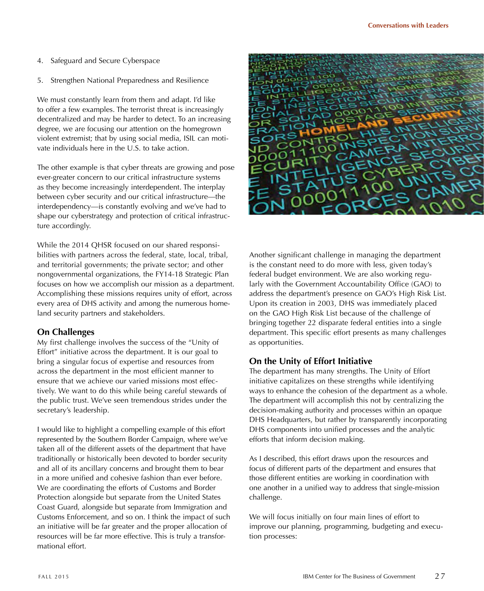- 4. Safeguard and Secure Cyberspace
- 5. Strengthen National Preparedness and Resilience

We must constantly learn from them and adapt. I'd like to offer a few examples. The terrorist threat is increasingly decentralized and may be harder to detect. To an increasing degree, we are focusing our attention on the homegrown violent extremist; that by using social media, ISIL can motivate individuals here in the U.S. to take action.

The other example is that cyber threats are growing and pose ever-greater concern to our critical infrastructure systems as they become increasingly interdependent. The interplay between cyber security and our critical infrastructure—the interdependency—is constantly evolving and we've had to shape our cyberstrategy and protection of critical infrastructure accordingly.

While the 2014 QHSR focused on our shared responsibilities with partners across the federal, state, local, tribal, and territorial governments; the private sector; and other nongovernmental organizations, the FY14-18 Strategic Plan focuses on how we accomplish our mission as a department. Accomplishing these missions requires unity of effort, across every area of DHS activity and among the numerous homeland security partners and stakeholders.

### **On Challenges**

My first challenge involves the success of the "Unity of Effort" initiative across the department. It is our goal to bring a singular focus of expertise and resources from across the department in the most efficient manner to ensure that we achieve our varied missions most effectively. We want to do this while being careful stewards of the public trust. We've seen tremendous strides under the secretary's leadership.

I would like to highlight a compelling example of this effort represented by the Southern Border Campaign, where we've taken all of the different assets of the department that have traditionally or historically been devoted to border security and all of its ancillary concerns and brought them to bear in a more unified and cohesive fashion than ever before. We are coordinating the efforts of Customs and Border Protection alongside but separate from the United States Coast Guard, alongside but separate from Immigration and Customs Enforcement, and so on. I think the impact of such an initiative will be far greater and the proper allocation of resources will be far more effective. This is truly a transformational effort.



Another significant challenge in managing the department is the constant need to do more with less, given today's federal budget environment. We are also working regularly with the Government Accountability Office (GAO) to address the department's presence on GAO's High Risk List. Upon its creation in 2003, DHS was immediately placed on the GAO High Risk List because of the challenge of bringing together 22 disparate federal entities into a single department. This specific effort presents as many challenges as opportunities.

### **On the Unity of Effort Initiative**

The department has many strengths. The Unity of Effort initiative capitalizes on these strengths while identifying ways to enhance the cohesion of the department as a whole. The department will accomplish this not by centralizing the decision-making authority and processes within an opaque DHS Headquarters, but rather by transparently incorporating DHS components into unified processes and the analytic efforts that inform decision making.

As I described, this effort draws upon the resources and focus of different parts of the department and ensures that those different entities are working in coordination with one another in a unified way to address that single-mission challenge.

We will focus initially on four main lines of effort to improve our planning, programming, budgeting and execution processes: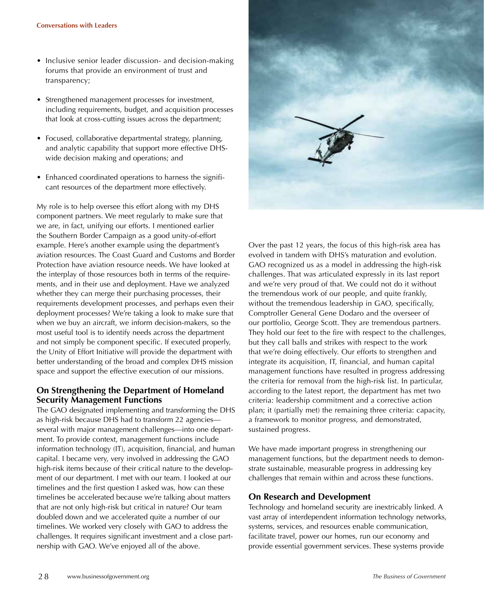- Inclusive senior leader discussion- and decision-making forums that provide an environment of trust and transparency;
- Strengthened management processes for investment, including requirements, budget, and acquisition processes that look at cross-cutting issues across the department;
- Focused, collaborative departmental strategy, planning, and analytic capability that support more effective DHSwide decision making and operations; and
- Enhanced coordinated operations to harness the significant resources of the department more effectively.

My role is to help oversee this effort along with my DHS component partners. We meet regularly to make sure that we are, in fact, unifying our efforts. I mentioned earlier the Southern Border Campaign as a good unity-of-effort example. Here's another example using the department's aviation resources. The Coast Guard and Customs and Border Protection have aviation resource needs. We have looked at the interplay of those resources both in terms of the requirements, and in their use and deployment. Have we analyzed whether they can merge their purchasing processes, their requirements development processes, and perhaps even their deployment processes? We're taking a look to make sure that when we buy an aircraft, we inform decision-makers, so the most useful tool is to identify needs across the department and not simply be component specific. If executed properly, the Unity of Effort Initiative will provide the department with better understanding of the broad and complex DHS mission space and support the effective execution of our missions.

#### **On Strengthening the Department of Homeland Security Management Functions**

The GAO designated implementing and transforming the DHS as high-risk because DHS had to transform 22 agencies several with major management challenges—into one department. To provide context, management functions include information technology (IT), acquisition, financial, and human capital. I became very, very involved in addressing the GAO high-risk items because of their critical nature to the development of our department. I met with our team. I looked at our timelines and the first question I asked was, how can these timelines be accelerated because we're talking about matters that are not only high-risk but critical in nature? Our team doubled down and we accelerated quite a number of our timelines. We worked very closely with GAO to address the challenges. It requires significant investment and a close partnership with GAO. We've enjoyed all of the above.



Over the past 12 years, the focus of this high-risk area has evolved in tandem with DHS's maturation and evolution. GAO recognized us as a model in addressing the high-risk challenges. That was articulated expressly in its last report and we're very proud of that. We could not do it without the tremendous work of our people, and quite frankly, without the tremendous leadership in GAO, specifically, Comptroller General Gene Dodaro and the overseer of our portfolio, George Scott. They are tremendous partners. They hold our feet to the fire with respect to the challenges, but they call balls and strikes with respect to the work that we're doing effectively. Our efforts to strengthen and integrate its acquisition, IT, financial, and human capital management functions have resulted in progress addressing the criteria for removal from the high-risk list. In particular, according to the latest report, the department has met two criteria: leadership commitment and a corrective action plan; it (partially met) the remaining three criteria: capacity, a framework to monitor progress, and demonstrated, sustained progress.

We have made important progress in strengthening our management functions, but the department needs to demonstrate sustainable, measurable progress in addressing key challenges that remain within and across these functions.

### **On Research and Development**

Technology and homeland security are inextricably linked. A vast array of interdependent information technology networks, systems, services, and resources enable communication, facilitate travel, power our homes, run our economy and provide essential government services. These systems provide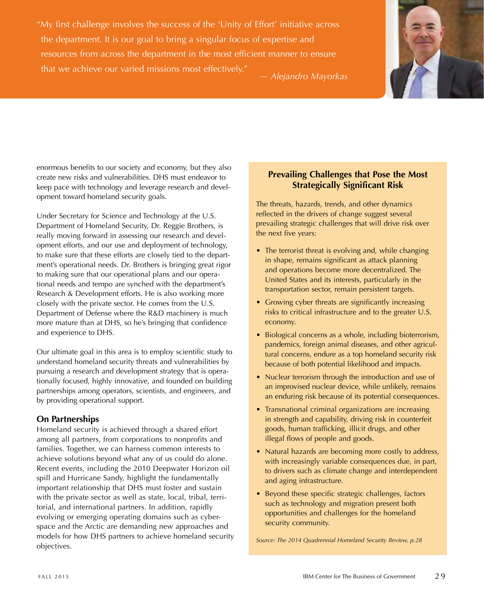"My first challenge involves the success of the 'Unity of Effort' initiative across the department. It is our goal to bring a singular focus of expertise and resources from across the department in the most efficient manner to ensure that we achieve our varied missions most effectively." *— Alejandro Mayorkas*



enormous benefits to our society and economy, but they also create new risks and vulnerabilities. DHS must endeavor to keep pace with technology and leverage research and development toward homeland security goals.

Under Secretary for Science and Technology at the U.S. Department of Homeland Security, Dr. Reggie Brothers, is really moving forward in assessing our research and development efforts, and our use and deployment of technology, to make sure that these efforts are closely tied to the department's operational needs. Dr. Brothers is bringing great rigor to making sure that our operational plans and our operational needs and tempo are synched with the department's Research & Development efforts. He is also working more closely with the private sector. He comes from the U.S. Department of Defense where the R&D machinery is much more mature than at DHS, so he's bringing that confidence and experience to DHS.

Our ultimate goal in this area is to employ scientific study to understand homeland security threats and vulnerabilities by pursuing a research and development strategy that is operationally focused, highly innovative, and founded on building partnerships among operators, scientists, and engineers, and by providing operational support.

### **On Partnerships**

Homeland security is achieved through a shared effort among all partners, from corporations to nonprofits and families. Together, we can harness common interests to achieve solutions beyond what any of us could do alone. Recent events, including the 2010 Deepwater Horizon oil spill and Hurricane Sandy, highlight the fundamentally important relationship that DHS must foster and sustain with the private sector as well as state, local, tribal, territorial, and international partners. In addition, rapidly evolving or emerging operating domains such as cyberspace and the Arctic are demanding new approaches and models for how DHS partners to achieve homeland security objectives.

## **Prevailing Challenges that Pose the Most Strategically Significant Risk**

The threats, hazards, trends, and other dynamics reflected in the drivers of change suggest several prevailing strategic challenges that will drive risk over the next five years:

- The terrorist threat is evolving and, while changing in shape, remains significant as attack planning and operations become more decentralized. The United States and its interests, particularly in the transportation sector, remain persistent targets.
- Growing cyber threats are significantly increasing risks to critical infrastructure and to the greater U.S. economy.
- Biological concerns as a whole, including bioterrorism, pandemics, foreign animal diseases, and other agricultural concerns, endure as a top homeland security risk because of both potential likelihood and impacts.
- Nuclear terrorism through the introduction and use of an improvised nuclear device, while unlikely, remains an enduring risk because of its potential consequences.
- Transnational criminal organizations are increasing in strength and capability, driving risk in counterfeit goods, human trafficking, illicit drugs, and other illegal flows of people and goods.
- Natural hazards are becoming more costly to address, with increasingly variable consequences due, in part, to drivers such as climate change and interdependent and aging infrastructure.
- Beyond these specific strategic challenges, factors such as technology and migration present both opportunities and challenges for the homeland security community.

*Source: The 2014 Quadrennial Homeland Security Review, p.28*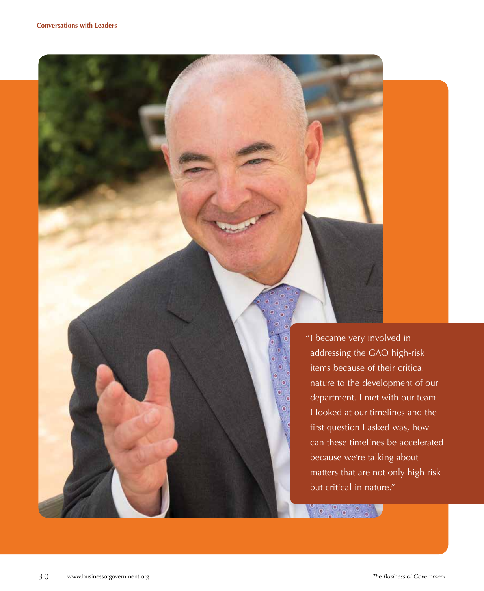"I became very involved in addressing the GAO high-risk items because of their critical nature to the development of our department. I met with our team. I looked at our timelines and the first question I asked was, how can these timelines be accelerated because we're talking about matters that are not only high risk but critical in nature."

 $\ddot{\bullet}$   $\ddot{\bullet}$   $\ddot{\bullet}$ 

 $\bullet$  $\bullet$  $\bullet$  $\overline{6}$  $\bullet$